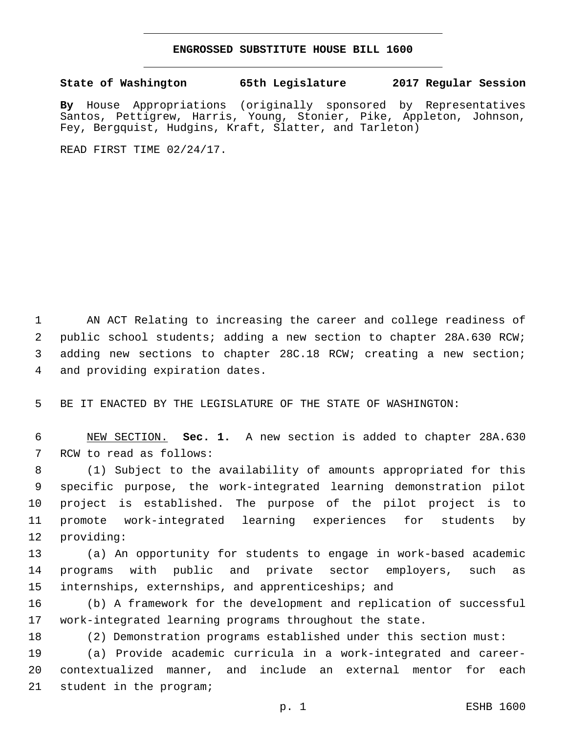## **ENGROSSED SUBSTITUTE HOUSE BILL 1600**

## **State of Washington 65th Legislature 2017 Regular Session**

**By** House Appropriations (originally sponsored by Representatives Santos, Pettigrew, Harris, Young, Stonier, Pike, Appleton, Johnson, Fey, Bergquist, Hudgins, Kraft, Slatter, and Tarleton)

READ FIRST TIME 02/24/17.

 AN ACT Relating to increasing the career and college readiness of public school students; adding a new section to chapter 28A.630 RCW; adding new sections to chapter 28C.18 RCW; creating a new section; 4 and providing expiration dates.

BE IT ENACTED BY THE LEGISLATURE OF THE STATE OF WASHINGTON:

 NEW SECTION. **Sec. 1.** A new section is added to chapter 28A.630 7 RCW to read as follows:

 (1) Subject to the availability of amounts appropriated for this specific purpose, the work-integrated learning demonstration pilot project is established. The purpose of the pilot project is to promote work-integrated learning experiences for students by 12 providing:

 (a) An opportunity for students to engage in work-based academic programs with public and private sector employers, such as internships, externships, and apprenticeships; and

 (b) A framework for the development and replication of successful work-integrated learning programs throughout the state.

(2) Demonstration programs established under this section must:

 (a) Provide academic curricula in a work-integrated and career- contextualized manner, and include an external mentor for each 21 student in the program;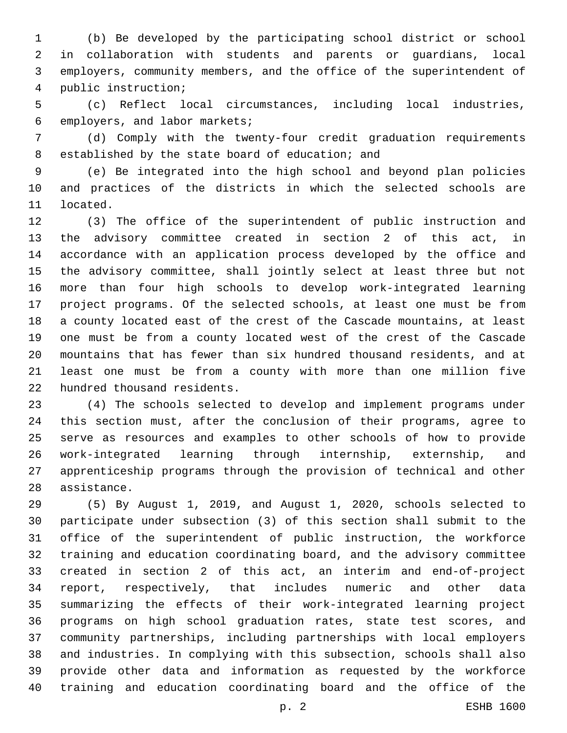(b) Be developed by the participating school district or school in collaboration with students and parents or guardians, local employers, community members, and the office of the superintendent of public instruction;4

 (c) Reflect local circumstances, including local industries, 6 employers, and labor markets;

 (d) Comply with the twenty-four credit graduation requirements 8 established by the state board of education; and

 (e) Be integrated into the high school and beyond plan policies and practices of the districts in which the selected schools are 11 located.

 (3) The office of the superintendent of public instruction and the advisory committee created in section 2 of this act, in accordance with an application process developed by the office and the advisory committee, shall jointly select at least three but not more than four high schools to develop work-integrated learning project programs. Of the selected schools, at least one must be from a county located east of the crest of the Cascade mountains, at least one must be from a county located west of the crest of the Cascade mountains that has fewer than six hundred thousand residents, and at least one must be from a county with more than one million five 22 hundred thousand residents.

 (4) The schools selected to develop and implement programs under this section must, after the conclusion of their programs, agree to serve as resources and examples to other schools of how to provide work-integrated learning through internship, externship, and apprenticeship programs through the provision of technical and other 28 assistance.

 (5) By August 1, 2019, and August 1, 2020, schools selected to participate under subsection (3) of this section shall submit to the office of the superintendent of public instruction, the workforce training and education coordinating board, and the advisory committee created in section 2 of this act, an interim and end-of-project report, respectively, that includes numeric and other data summarizing the effects of their work-integrated learning project programs on high school graduation rates, state test scores, and community partnerships, including partnerships with local employers and industries. In complying with this subsection, schools shall also provide other data and information as requested by the workforce training and education coordinating board and the office of the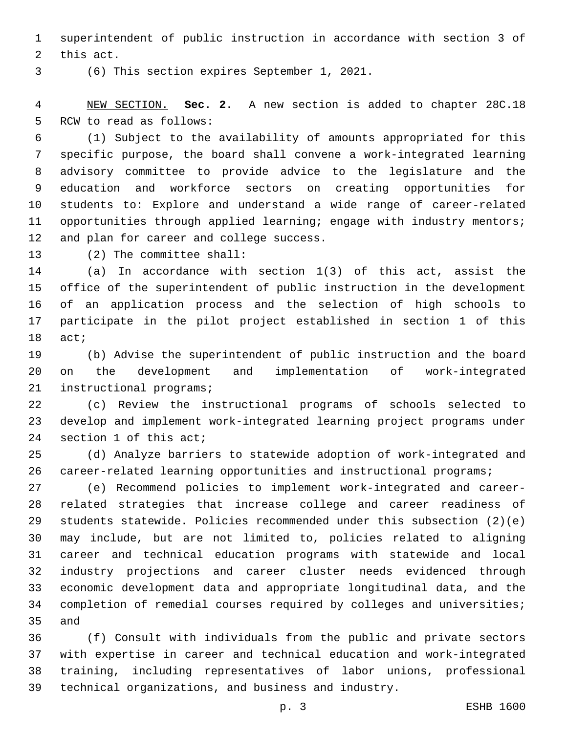superintendent of public instruction in accordance with section 3 of 2 this act.

(6) This section expires September 1, 2021.3

 NEW SECTION. **Sec. 2.** A new section is added to chapter 28C.18 5 RCW to read as follows:

 (1) Subject to the availability of amounts appropriated for this specific purpose, the board shall convene a work-integrated learning advisory committee to provide advice to the legislature and the education and workforce sectors on creating opportunities for students to: Explore and understand a wide range of career-related 11 opportunities through applied learning; engage with industry mentors; 12 and plan for career and college success.

13 (2) The committee shall:

 (a) In accordance with section 1(3) of this act, assist the office of the superintendent of public instruction in the development of an application process and the selection of high schools to participate in the pilot project established in section 1 of this 18 act;

 (b) Advise the superintendent of public instruction and the board on the development and implementation of work-integrated 21 instructional programs;

 (c) Review the instructional programs of schools selected to develop and implement work-integrated learning project programs under 24 section 1 of this act;

 (d) Analyze barriers to statewide adoption of work-integrated and 26 career-related learning opportunities and instructional programs;

 (e) Recommend policies to implement work-integrated and career- related strategies that increase college and career readiness of students statewide. Policies recommended under this subsection (2)(e) may include, but are not limited to, policies related to aligning career and technical education programs with statewide and local industry projections and career cluster needs evidenced through economic development data and appropriate longitudinal data, and the completion of remedial courses required by colleges and universities; and

 (f) Consult with individuals from the public and private sectors with expertise in career and technical education and work-integrated training, including representatives of labor unions, professional technical organizations, and business and industry.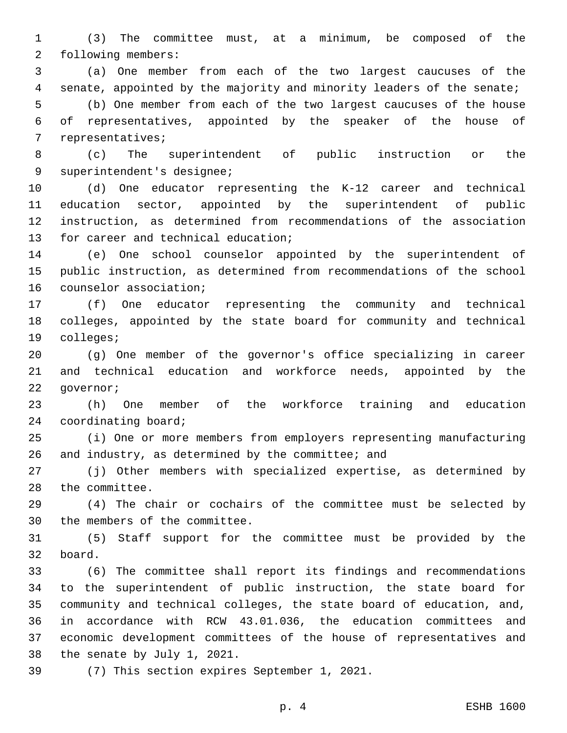(3) The committee must, at a minimum, be composed of the 2 following members:

 (a) One member from each of the two largest caucuses of the senate, appointed by the majority and minority leaders of the senate; (b) One member from each of the two largest caucuses of the house of representatives, appointed by the speaker of the house of 7 representatives;

 (c) The superintendent of public instruction or the 9 superintendent's designee;

 (d) One educator representing the K-12 career and technical education sector, appointed by the superintendent of public instruction, as determined from recommendations of the association 13 for career and technical education;

 (e) One school counselor appointed by the superintendent of public instruction, as determined from recommendations of the school 16 counselor association;

 (f) One educator representing the community and technical colleges, appointed by the state board for community and technical 19 colleges;

 (g) One member of the governor's office specializing in career and technical education and workforce needs, appointed by the 22 qovernor;

 (h) One member of the workforce training and education 24 coordinating board;

 (i) One or more members from employers representing manufacturing 26 and industry, as determined by the committee; and

 (j) Other members with specialized expertise, as determined by 28 the committee.

 (4) The chair or cochairs of the committee must be selected by 30 the members of the committee.

 (5) Staff support for the committee must be provided by the 32 board.

 (6) The committee shall report its findings and recommendations to the superintendent of public instruction, the state board for community and technical colleges, the state board of education, and, in accordance with RCW 43.01.036, the education committees and economic development committees of the house of representatives and 38 the senate by July 1, 2021.

39 (7) This section expires September 1, 2021.

p. 4 ESHB 1600